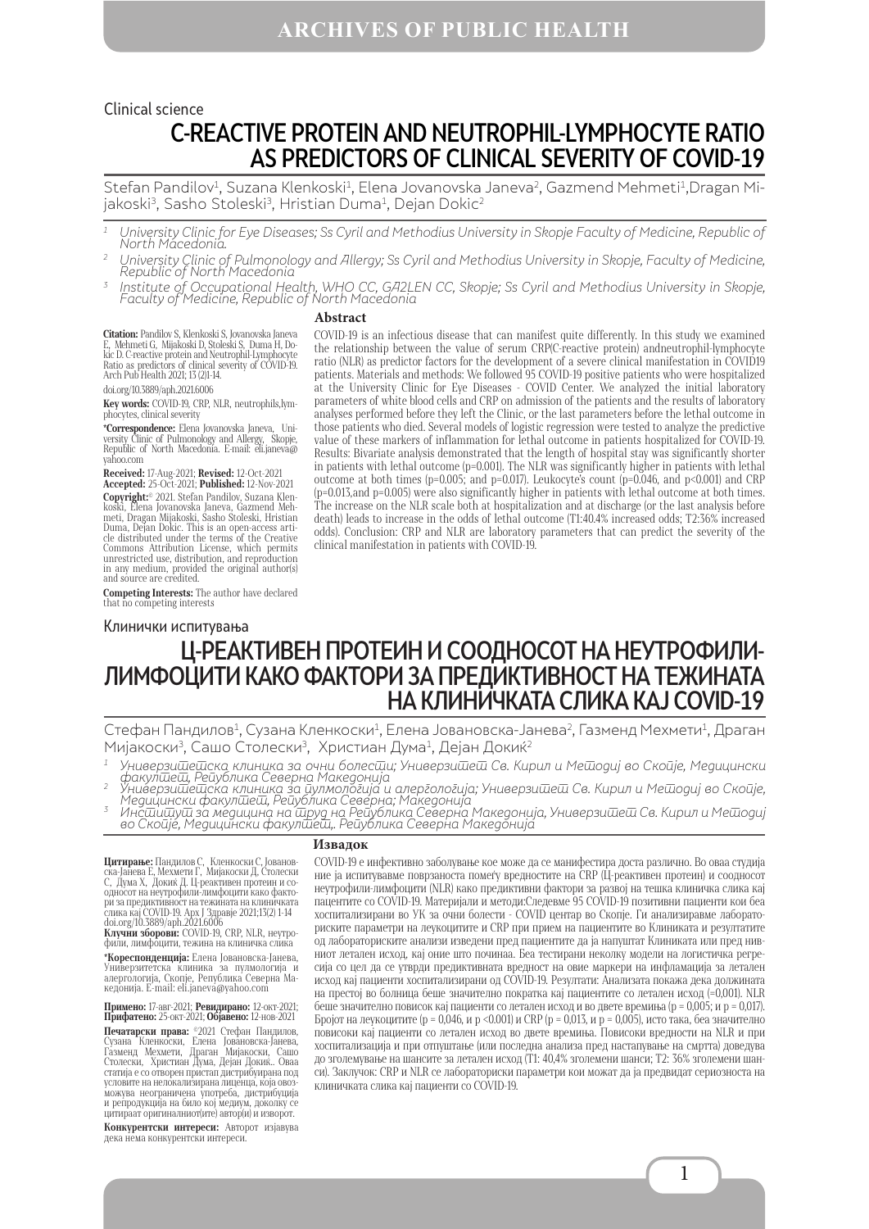### C-REACTIVE PROTEIN AND NEUTROPHIL-LYMPHOCYTE RATIO AS PREDICTORS OF CLINICAL SEVERITY OF COVID-19 Clinical science

Stefan Pandilov<sup>1</sup>, Suzana Klenkoski<sup>1</sup>, Elena Jovanovska Janeva<sup>2</sup>, Gazmend Mehmeti<sup>1</sup>,Dragan Mijakoski<sup>3</sup>, Sasho Stoleski<sup>3</sup>, Hristian Duma<sup>1</sup>, Dejan Dokic<sup>2</sup>

 $^{\rm 1}~\,$  University Clinic for Eye Diseases; Ss Cyril and Methodius University in Skopje Faculty of Medicine, Republic of North Macedonia.

- $^2$  University Clinic of Pulmonology and Allergy; Ss Cyril and Methodius University in Skopje, Faculty of Medicine, Republic of North Macedonia
- $^{\rm 3}$  Institute of Occupational Health, WHO CC, GA2LEN CC, Skopje; Ss Cyril and Methodius University in Skopje, Faculty of Medicine, Republic of North Macedonia

#### **Abstract**

**Citation:** Pandilov S, Klenkoski S, Jovanovska Janeva E, Mehmeti G, Mijakoski D, Stoleski S, Duma H, Do- kic D. C-reactive protein and Neutrophil-Lymphocyte Ratio as predictors of clinical severity of COVID-19. Arch Pub Health 2021; 13 (2)1-14.

doi.org/10.3889/aph.2021.6006

**Key words:** COVID-19, CRP, NLR, neutrophils,lym-phocytes, clinical severity

**\*Correspondence:** Elena Jovanovska Janeva, Uni-versity Clinic of Pulmonology and Allergy, Skopje, Republic of North Macedonia. E-mail: eli.janeva@ yahoo.com

**Received:** 17-Aug-2021; **Revised:** 12-Oct-2021 **Accepted:** 25-Oct-2021; **Published:** 12-Nov-2021

**Copyright:**© 2021. Stefan Pandilov, Suzana Klen-<br>koski, Elena Jovanovska Janeva, Gazmend Meh-<br>meti, Dragan Mijakoski, Sasho Stoleski, Hristian<br>meti, Dragan Mijakoski, Sasho Stoleski, Hristian Duma, Dejan Dokic. This is an open-access arti- cle distributed under the terms of the Creative Commons Attribution License, which permits unrestricted use, distribution, and reproduction in any medium, provided the original author(s) and source are credited.

**Competing Interests:** The author have declared that no competing interests

#### Клинички испитувања

COVID-19 is an infectious disease that can manifest quite differently. In this study we examined the relationship between the value of serum CRP(C-reactive protein) andneutrophil-lymphocyte ratio (NLR) as predictor factors for the development of a severe clinical manifestation in COVID19 patients. Materials and methods: We followed 95 COVID-19 positive patients who were hospitalized at the University Clinic for Eye Diseases - COVID Center. We analyzed the initial laboratory parameters of white blood cells and CRP on admission of the patients and the results of laboratory analyses performed before they left the Clinic, or the last parameters before the lethal outcome in those patients who died. Several models of logistic regression were tested to analyze the predictive value of these markers of inflammation for lethal outcome in patients hospitalized for COVID-19. Results: Bivariate analysis demonstrated that the length of hospital stay was significantly shorter in patients with lethal outcome (p=0.001). The NLR was significantly higher in patients with lethal outcome at both times (p=0.005; and p=0.017). Leukocyte's count (p=0.046, and p<0.001) and CRP (p=0.013,and p=0.005) were also significantly higher in patients with lethal outcome at both times. The increase on the NLR scale both at hospitalization and at discharge (or the last analysis before death) leads to increase in the odds of lethal outcome (T1:40.4% increased odds; T2:36% increased odds). Conclusion: CRP and NLR are laboratory parameters that can predict the severity of the clinical manifestation in patients with COVID-19.

# Ц-РЕАКТИВЕН ПРОТЕИН И CООДНОСОТ НА НЕУТРОФИЛИ-ЛИМФОЦИТИ КАКО ФАКТОРИ ЗА ПРЕДИКТИВНОСТ НА ТЕЖИНАТА НА КЛИНИЧКАТА СЛИКА КАЈ COVID-19

Стефан Пандилов<sup>1</sup>, Сузана Кленкоски<sup>1</sup>, Елена Јовановска-Јанева<sup>2</sup>, Газменд Мехмети<sup>1</sup>, Драган Мијакоски<sup>3</sup>, Сашо Столески<sup>3</sup>, Христиан Дума<sup>1</sup>, Дејан Докиќ<sup>2</sup>

- $^{\rm 1}$  Универзи $\overline{\rm u}$ е $\overline{\rm u}$ ска клиника за очни болес $\overline{\rm u}$ и; Универзи $\overline{\rm u}$ ев. Кирил и Ме $\overline{\rm u}$ одиј во Скоије, Медицински
- факулшеш, Рейублика Северна Македонија '<br><sup>2</sup> Универзишешска клиника за иулмологија и алергологија; Универзишеш Св. Кирил и Мешодиј во Скоије,
- Медицински факулшеш, Република Северна; Македонија<br><sup>3</sup> Инсшишуш за медицина на шруд на Република Северна Македонија, Универзишеш Св. Кирил и Мешодиј во Скойје́, Медици́нски факулФе́ш́,. Рейублика Северна Македо́нија́

#### **Извадок**

**Цитирање:** Пандилов С, Кленкоски С, Јованов-<br>ска-Јанева Е, Мехмети Г, Мијакоски Д, Столески<br>С, Дума Х, Докиќ Д. Ц-реактивен протеин и соодносот на неутрофили-лимфоцити како факто-<br>ри за предиктивност на тежината на клиничката<br>слика кај COVID-19. Арх Ј Здравје 2021;13(2) 1-14<br>doi.org/10.3889/aph.2021.6006

**Клучни зборови:** COVID-19, CRP, NLR, неутро- фили, лимфоцити, тежина на клиничка слика

**\*Кореспонденција:** Елена Јовановска-Јанева, Универзитетска клиника за пулмологија и алергологија, Скопје, Република Северна Ма- кедонија. E-mail: eli.janeva@yahoo.com

**Примено:** 17-авг-2021; **Ревидирано:** 12-окт-2021; **Прифатено:** 25-окт-2021; **Објавено:** 12-нов-2021

**Печатарски права: ®2**021 Стефан Пандилов,<br>Сузана Кленкоски, Елена Јовановска-Јанева,<br>Газменд Мехмети, Драган Мијакоски, Сашо<br>Столески, Христиан Дума, Дејан Докиќ.. Оваа статија е со отворен пристап дистрибуирана под условите на нелокализирана лиценца, која овоз- можува неограничена употреба, дистрибуција и репродукција на било кој медиум, доколку се цитираат оригиналниот(ите) автор(и) и изворот.

**Конкурентски интереси:** Авторот изјавува дека нема конкурентски интереси.

COVID-19 е инфективно заболување кое може да се манифестира доста различно. Во оваа студија ние ја испитувавме поврзаноста помеѓу вредностите на CRP (Ц-реактивен протеин) и соодносот неутрофили-лимфоцити (NLR) како предиктивни фактори за развој на тешка клиничка слика кај пацентите со COVID-19. Материјали и методи:Следевме 95 COVID-19 позитивни пациенти кои беа хоспитализирани во УК за очни болести - COVID центар во Скопје. Ги анализиравме лабораториските параметри на леукоцитите и CRP при прием на пациентите во Клиниката и резултатите од лабораториските анализи изведени пред пациентите да ја напуштат Клиниката или пред нивниот летален исход, кај оние што починаа. Беа тестирани неколку модели на логистичка регресија со цел да се утврди предиктивната вредност на овие маркери на инфламација за летален исход кај пациенти хоспитализирани од COVID-19. Резултати: Анализата покажа дека должината на престој во болница беше значително пократка кај пациентите со летален исход (=0,001). NLR беше значително повисок кај пациенти со летален исход и во двете времиња (p = 0,005; и p = 0,017). Бројот на леукоцитите (p = 0,046, и p <0.001) и CRP (p = 0,013, и p = 0,005), исто така, беа значително повисоки кај пациенти со летален исход во двете времиња. Повисоки вредности на NLR и при хоспитализација и при отпуштање (или последна анализа пред настапување на смртта) доведува до зголемување на шансите за летален исход (Т1: 40,4% зголемени шанси; Т2: 36% зголемени шанси). Заклучок: CRP и NLR се лабораториски параметри кои можат да ја предвидат сериозноста на клиничката слика кај пациенти со COVID-19.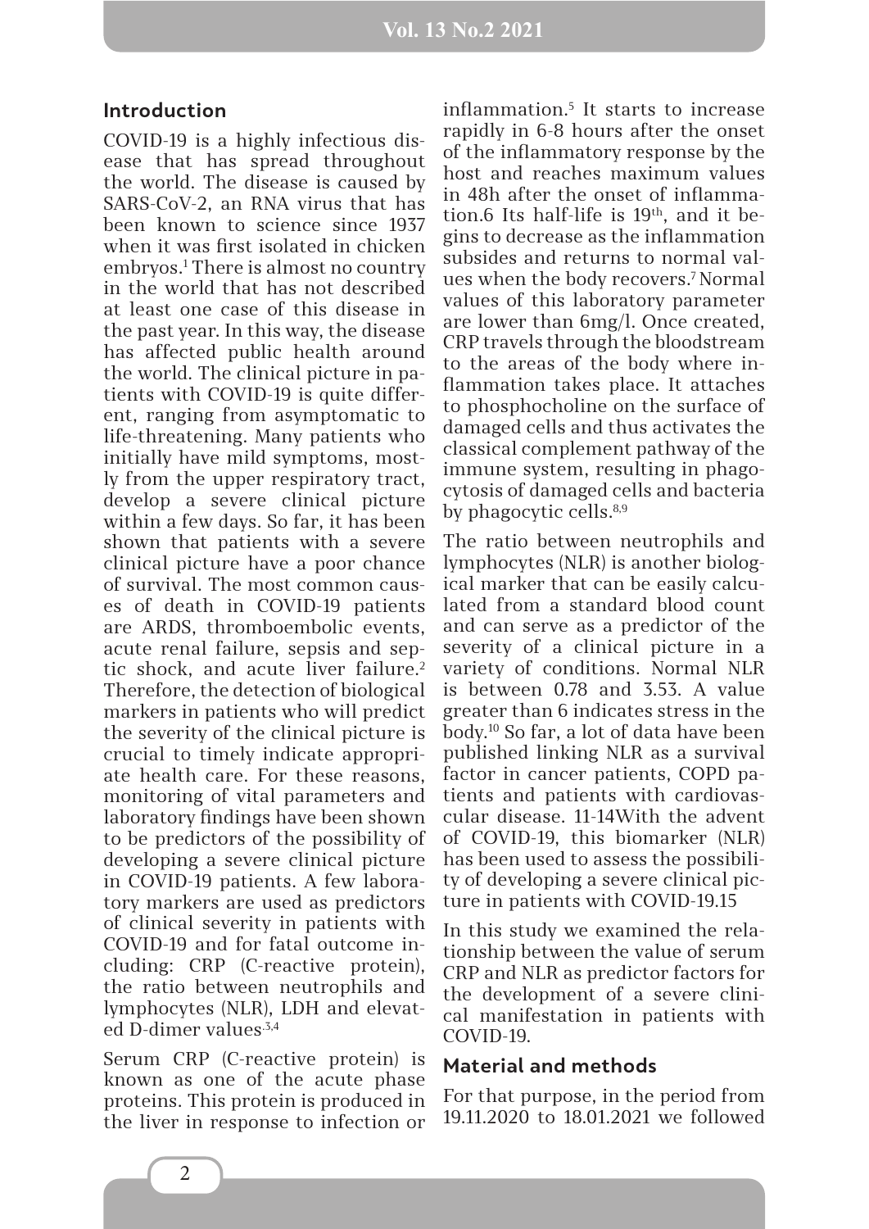#### **Introduction**

COVID-19 is a highly infectious disease that has spread throughout the world. The disease is caused by SARS-CoV-2, an RNA virus that has been known to science since 1937 when it was first isolated in chicken embryos.1 There is almost no country in the world that has not described at least one case of this disease in the past year. In this way, the disease has affected public health around the world. The clinical picture in patients with COVID-19 is quite different, ranging from asymptomatic to life-threatening. Many patients who initially have mild symptoms, mostly from the upper respiratory tract, develop a severe clinical picture within a few days. So far, it has been shown that patients with a severe clinical picture have a poor chance of survival. The most common causes of death in COVID-19 patients are ARDS, thromboembolic events, acute renal failure, sepsis and septic shock, and acute liver failure.<sup>2</sup> Therefore, the detection of biological markers in patients who will predict the severity of the clinical picture is crucial to timely indicate appropriate health care. For these reasons, monitoring of vital parameters and laboratory findings have been shown to be predictors of the possibility of developing a severe clinical picture in COVID-19 patients. A few laboratory markers are used as predictors of clinical severity in patients with COVID-19 and for fatal outcome including: CRP (C-reactive protein), the ratio between neutrophils and lymphocytes (NLR), LDH and elevated D-dimer values.3,4

Serum CRP (C-reactive protein) is known as one of the acute phase proteins. This protein is produced in the liver in response to infection or

inflammation.5 It starts to increase rapidly in 6-8 hours after the onset of the inflammatory response by the host and reaches maximum values in 48h after the onset of inflammation.6 Its half-life is  $19<sup>th</sup>$ , and it begins to decrease as the inflammation subsides and returns to normal values when the body recovers.7 Normal values of this laboratory parameter are lower than 6mg/l. Once created, CRP travels through the bloodstream to the areas of the body where inflammation takes place. It attaches to phosphocholine on the surface of damaged cells and thus activates the classical complement pathway of the immune system, resulting in phagocytosis of damaged cells and bacteria by phagocytic cells.8,9

The ratio between neutrophils and lymphocytes (NLR) is another biological marker that can be easily calculated from a standard blood count and can serve as a predictor of the severity of a clinical picture in a variety of conditions. Normal NLR is between 0.78 and 3.53. A value greater than 6 indicates stress in the body.10 So far, a lot of data have been published linking NLR as a survival factor in cancer patients, COPD patients and patients with cardiovascular disease. 11-14With the advent of COVID-19, this biomarker (NLR) has been used to assess the possibility of developing a severe clinical picture in patients with COVID-19.15

In this study we examined the relationship between the value of serum CRP and NLR as predictor factors for the development of a severe clinical manifestation in patients with COVID-19.

### **Material and methods**

For that purpose, in the period from 19.11.2020 to 18.01.2021 we followed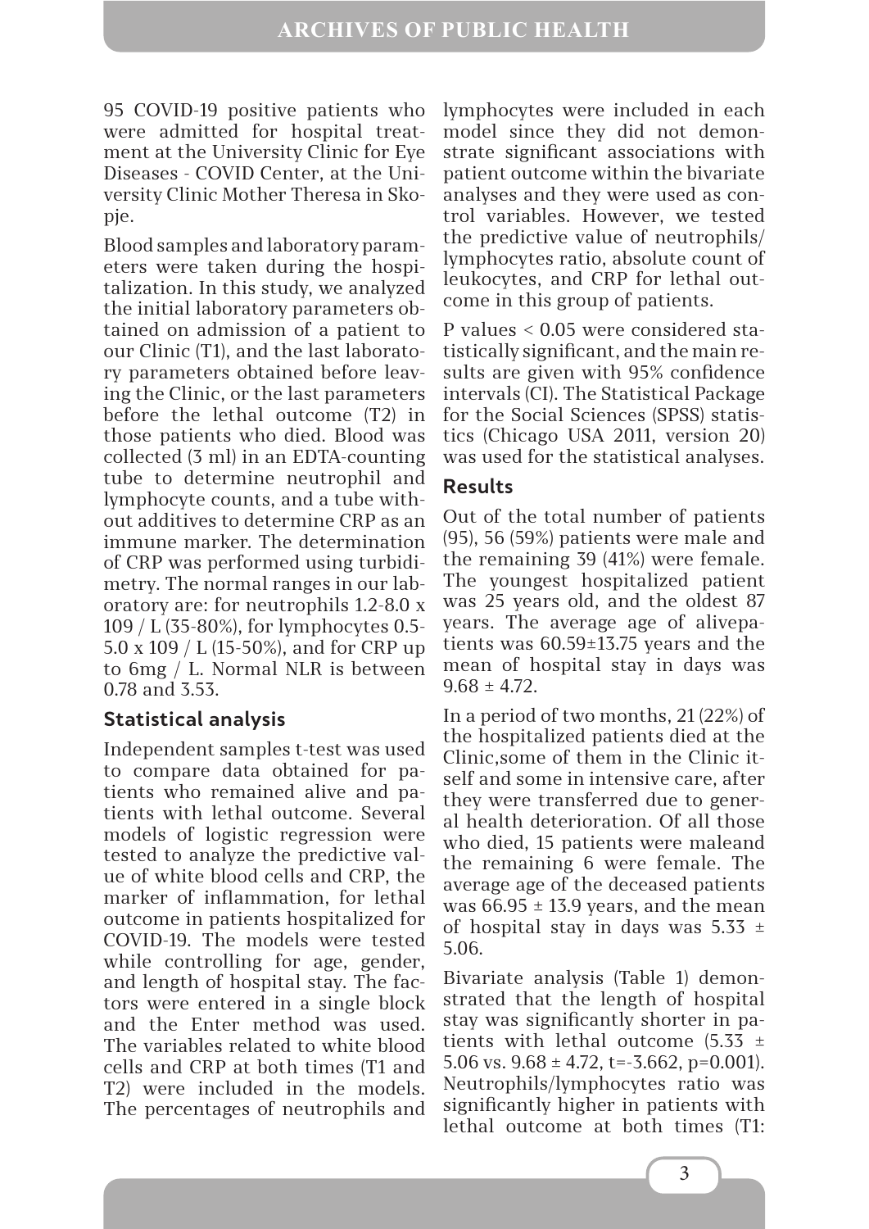95 COVID-19 positive patients who were admitted for hospital treatment at the University Clinic for Eye Diseases - COVID Center, at the University Clinic Mother Theresa in Skopje.

Blood samples and laboratory parameters were taken during the hospitalization. In this study, we analyzed the initial laboratory parameters obtained on admission of a patient to our Clinic (T1), and the last laboratory parameters obtained before leaving the Clinic, or the last parameters before the lethal outcome (T2) in those patients who died. Blood was collected (3 ml) in an EDTA-counting tube to determine neutrophil and lymphocyte counts, and a tube without additives to determine CRP as an immune marker. The determination of CRP was performed using turbidimetry. The normal ranges in our laboratory are: for neutrophils 1.2-8.0 x 109 / L (35-80%), for lymphocytes 0.5- 5.0 x 109 / L (15-50%), and for CRP up to 6mg / L. Normal NLR is between 0.78 and 3.53.

### **Statistical analysis**

Independent samples t-test was used to compare data obtained for patients who remained alive and patients with lethal outcome. Several models of logistic regression were tested to analyze the predictive value of white blood cells and CRP, the marker of inflammation, for lethal outcome in patients hospitalized for COVID-19. The models were tested while controlling for age, gender, and length of hospital stay. The factors were entered in a single block and the Enter method was used. The variables related to white blood cells and CRP at both times (T1 and T2) were included in the models. The percentages of neutrophils and

lymphocytes were included in each model since they did not demonstrate significant associations with patient outcome within the bivariate analyses and they were used as control variables. However, we tested the predictive value of neutrophils/ lymphocytes ratio, absolute count of leukocytes, and CRP for lethal outcome in this group of patients.

P values < 0.05 were considered statistically significant, and the main results are given with 95% confidence intervals (CI). The Statistical Package for the Social Sciences (SPSS) statistics (Chicago USA 2011, version 20) was used for the statistical analyses.

### **Results**

Out of the total number of patients (95), 56 (59%) patients were male and the remaining 39 (41%) were female. The youngest hospitalized patient was 25 years old, and the oldest 87 years. The average age of alivepatients was 60.59±13.75 years and the mean of hospital stay in days was  $9.68 \pm 4.72$ .

In a period of two months, 21 (22%) of the hospitalized patients died at the Clinic,some of them in the Clinic itself and some in intensive care, after they were transferred due to general health deterioration. Of all those who died, 15 patients were maleand the remaining 6 were female. The average age of the deceased patients was  $66.95 \pm 13.9$  years, and the mean of hospital stay in days was  $5.33 \pm 1$ 5.06.

Bivariate analysis (Table 1) demonstrated that the length of hospital stay was significantly shorter in patients with lethal outcome  $(5.33 \pm$ 5.06 vs.  $9.68 \pm 4.72$ , t=-3.662, p=0.001). Neutrophils/lymphocytes ratio was significantly higher in patients with lethal outcome at both times (T1: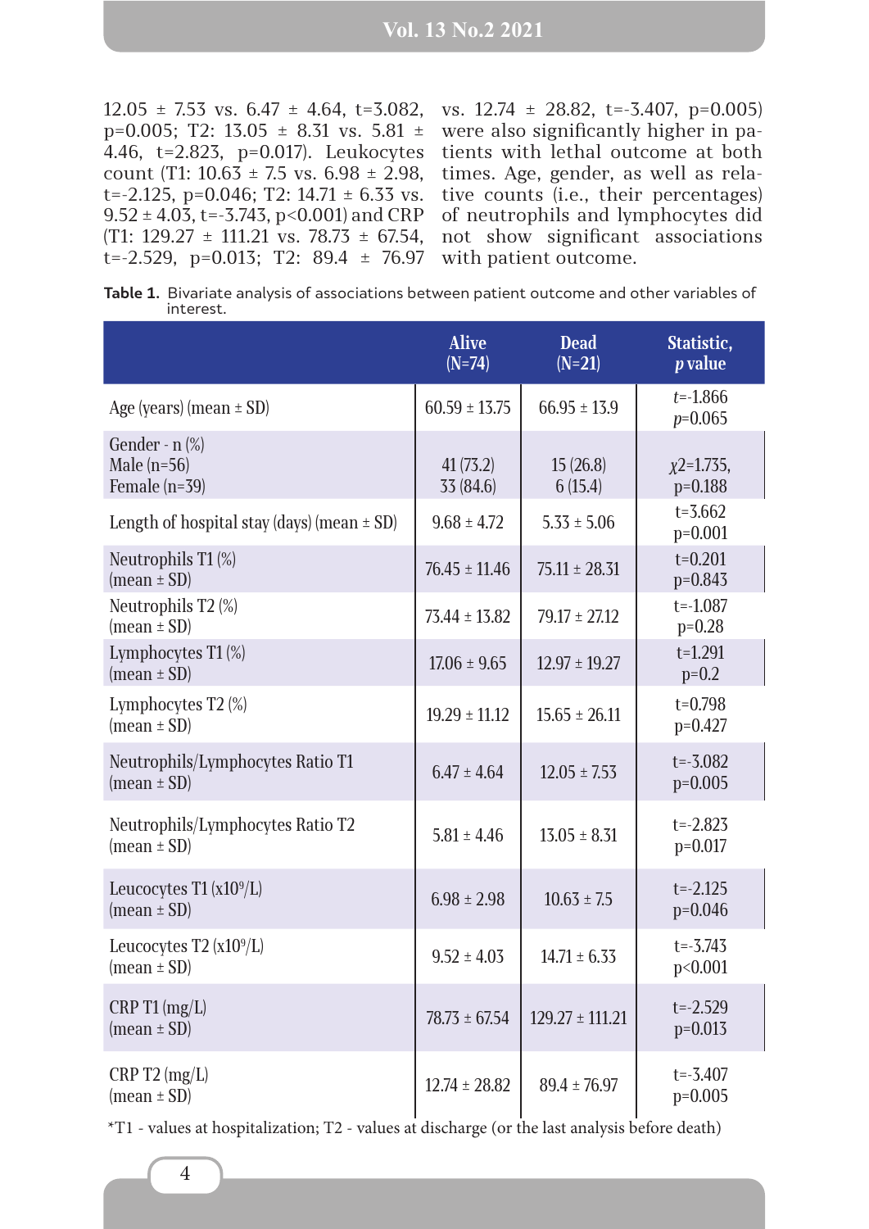$12.05 \pm 7.53$  vs.  $6.47 \pm 4.64$ ,  $t=3.082$ , p=0.005; T2: 13.05  $\pm$  8.31 vs. 5.81  $\pm$ 4.46, t=2.823, p=0.017). Leukocytes count (T1:  $10.63 \pm 7.5$  vs.  $6.98 \pm 2.98$ , t=-2.125, p=0.046; T2:  $14.71 \pm 6.33$  vs.  $9.52 \pm 4.03$ , t=-3.743, p<0.001) and CRP  $(T1: 129.27 \pm 111.21 \text{ vs. } 78.73 \pm 67.54,$ t= $-2.529$ , p= $0.013$ ; T2: 89.4  $\pm$  76.97

vs. 12.74 ± 28.82, t=-3.407, p=0.005) were also significantly higher in patients with lethal outcome at both times. Age, gender, as well as relative counts (i.e., their percentages) of neutrophils and lymphocytes did not show significant associations with patient outcome.

**Table 1.** Bivariate analysis of associations between patient outcome and other variables of interest.

|                                                           | <b>Alive</b><br>$(N=74)$ | <b>Dead</b><br>$(N=21)$ | Statistic,<br><i>p</i> value |
|-----------------------------------------------------------|--------------------------|-------------------------|------------------------------|
| Age (years) (mean $\pm$ SD)                               | $60.59 \pm 13.75$        | $66.95 \pm 13.9$        | $t = -1.866$<br>$p=0.065$    |
| Gender - $n$ $%$<br>Male $(n=56)$<br>Female $(n=39)$      | 41(73.2)<br>33 (84.6)    | 15(26.8)<br>6(15.4)     | $x^2$ =1.735,<br>$p=0.188$   |
| Length of hospital stay (days) (mean $\pm$ SD)            | $9.68 \pm 4.72$          | $5.33 \pm 5.06$         | $t = 3.662$<br>$p=0.001$     |
| Neutrophils T1 (%)<br>$(\text{mean} \pm \text{SD})$       | $76.45 \pm 11.46$        | $75.11 \pm 28.31$       | $t=0.201$<br>$p=0.843$       |
| Neutrophils T2 (%)<br>$(\text{mean} \pm \text{SD})$       | $73.44 \pm 13.82$        | $79.17 \pm 27.12$       | $t = -1.087$<br>$p=0.28$     |
| Lymphocytes $T1$ (%)<br>$(\text{mean} \pm \text{SD})$     | $17.06 \pm 9.65$         | $12.97 \pm 19.27$       | $t = 1.291$<br>$p=0.2$       |
| Lymphocytes T2 $(\%)$<br>$(\text{mean} \pm \text{SD})$    | $19.29 \pm 11.12$        | $15.65 \pm 26.11$       | $t = 0.798$<br>$p=0.427$     |
| Neutrophils/Lymphocytes Ratio T1<br>(mean $\pm$ SD)       | $6.47 \pm 4.64$          | $12.05 \pm 7.53$        | $t = -3.082$<br>$p=0.005$    |
| Neutrophils/Lymphocytes Ratio T2<br>$(mean \pm SD)$       | $5.81 \pm 4.46$          | $13.05 \pm 8.31$        | $t = -2.825$<br>$p=0.017$    |
| Leucocytes T1 $(x109/L)$<br>$(\text{mean} \pm \text{SD})$ | $6.98 \pm 2.98$          | $10.63 \pm 7.5$         | $t = -2.125$<br>$p=0.046$    |
| Leucocytes T2 $(x109/L)$<br>$mean \pm SD$                 | $9.52 \pm 4.03$          | $14.71 \pm 6.33$        | $t = -3.743$<br>p<0.001      |
| CRP T1 (mg/L)<br>$(\text{mean} \pm \text{SD})$            | $78.73 \pm 67.54$        | $129.27 \pm 111.21$     | $t = -2.529$<br>$p=0.013$    |
| CRP T2 (mg/L)<br>$(\text{mean} \pm \text{SD})$            | $12.74 \pm 28.82$        | $89.4 \pm 76.97$        | $t = -3.407$<br>$p=0.005$    |

\*T1 - values at hospitalization; T2 - values at discharge (or the last analysis before death)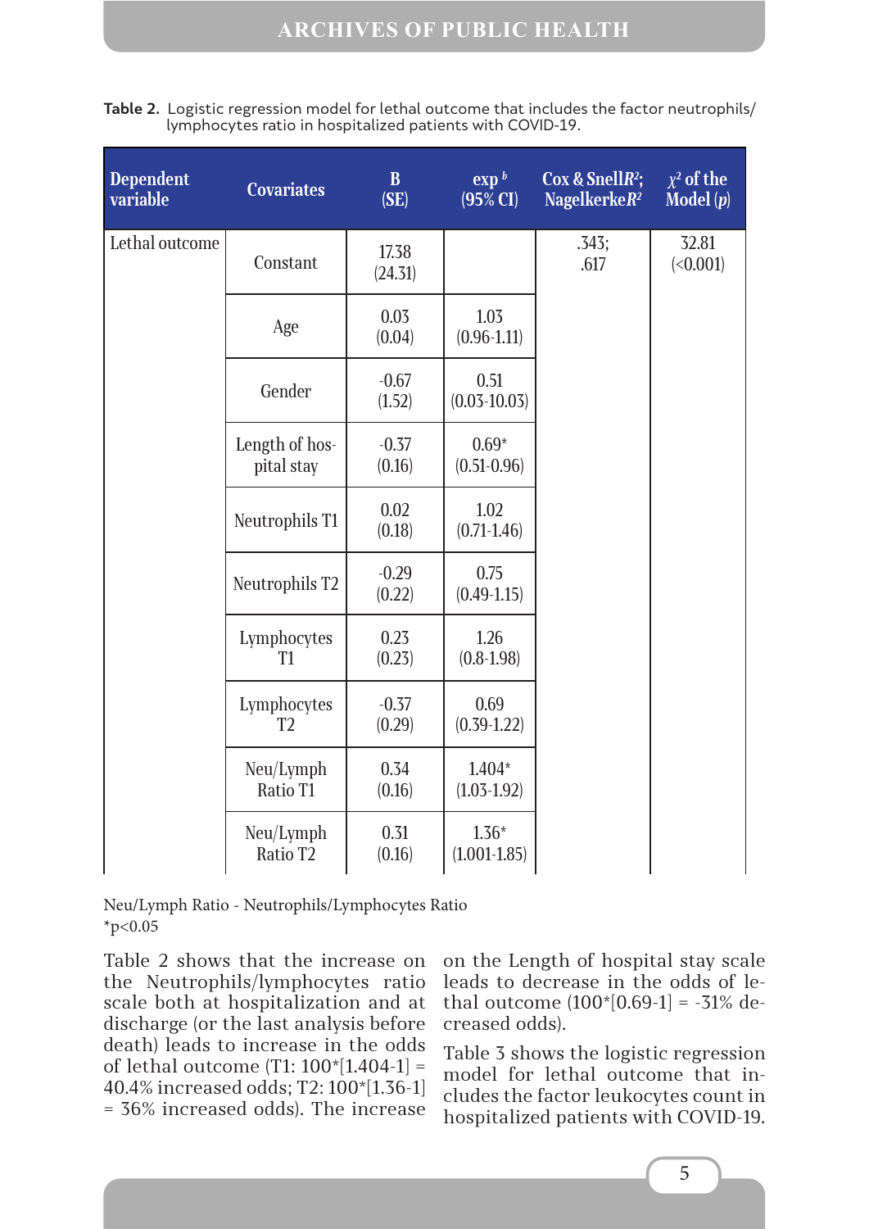| <b>Dependent</b><br>variable | <b>Covariates</b>             | $\overline{B}$<br>(SE) | $\exp^{\,b}$<br>$(95\% \text{ CI})$ | Cox & SnellR <sup>2</sup> ;<br>NagelkerkeR <sup>2</sup> | $\overline{\chi^2}$ of the<br>$\overline{\text{Model}\left( p\right) }$ |
|------------------------------|-------------------------------|------------------------|-------------------------------------|---------------------------------------------------------|-------------------------------------------------------------------------|
| Lethal outcome               | Constant                      | 17.38<br>(24.31)       |                                     | .343;<br>.617                                           | 32.81<br>(<0.001)                                                       |
|                              | Age                           | 0.03<br>(0.04)         | 1.03<br>$(0.96 - 1.11)$             |                                                         |                                                                         |
|                              | Gender                        | $-0.67$<br>(1.52)      | 0.51<br>$(0.03 - 10.03)$            |                                                         |                                                                         |
|                              | Length of hos-<br>pital stay  | $-0.37$<br>(0.16)      | $0.69*$<br>$(0.51 - 0.96)$          |                                                         |                                                                         |
|                              | Neutrophils T1                | 0.02<br>(0.18)         | 1.02<br>$(0.71 - 1.46)$             |                                                         |                                                                         |
|                              | Neutrophils T2                | $-0.29$<br>(0.22)      | 0.75<br>$(0.49-1.15)$               |                                                         |                                                                         |
|                              | Lymphocytes<br>T1             | 0.23<br>(0.23)         | 1.26<br>$(0.8 - 1.98)$              |                                                         |                                                                         |
|                              | Lymphocytes<br>T <sub>2</sub> | $-0.37$<br>(0.29)      | 0.69<br>$(0.39-1.22)$               |                                                         |                                                                         |
|                              | Neu/Lymph<br>Ratio T1         | 0.34<br>(0.16)         | $1.404*$<br>$(1.03 - 1.92)$         |                                                         |                                                                         |
|                              | Neu/Lymph<br>Ratio T2         | 0.31<br>(0.16)         | $1.36*$<br>$(1.001 - 1.85)$         |                                                         |                                                                         |

**Table 2.** Logistic regression model for lethal outcome that includes the factor neutrophils/ lymphocytes ratio in hospitalized patients with COVID-19.

Neu/Lymph Ratio - Neutrophils/Lymphocytes Ratio  $*_{p<0.05}$ 

Table 2 shows that the increase on the Neutrophils/lymphocytes ratio scale both at hospitalization and at discharge (or the last analysis before death) leads to increase in the odds of lethal outcome (T1: 100\*[1.404-1] = 40.4% increased odds; T2: 100\*[1.36-1] = 36% increased odds). The increase

on the Length of hospital stay scale leads to decrease in the odds of lethal outcome  $(100*[0.69-1] = -31\%$  decreased odds).

Table 3 shows the logistic regression model for lethal outcome that includes the factor leukocytes count in hospitalized patients with COVID-19.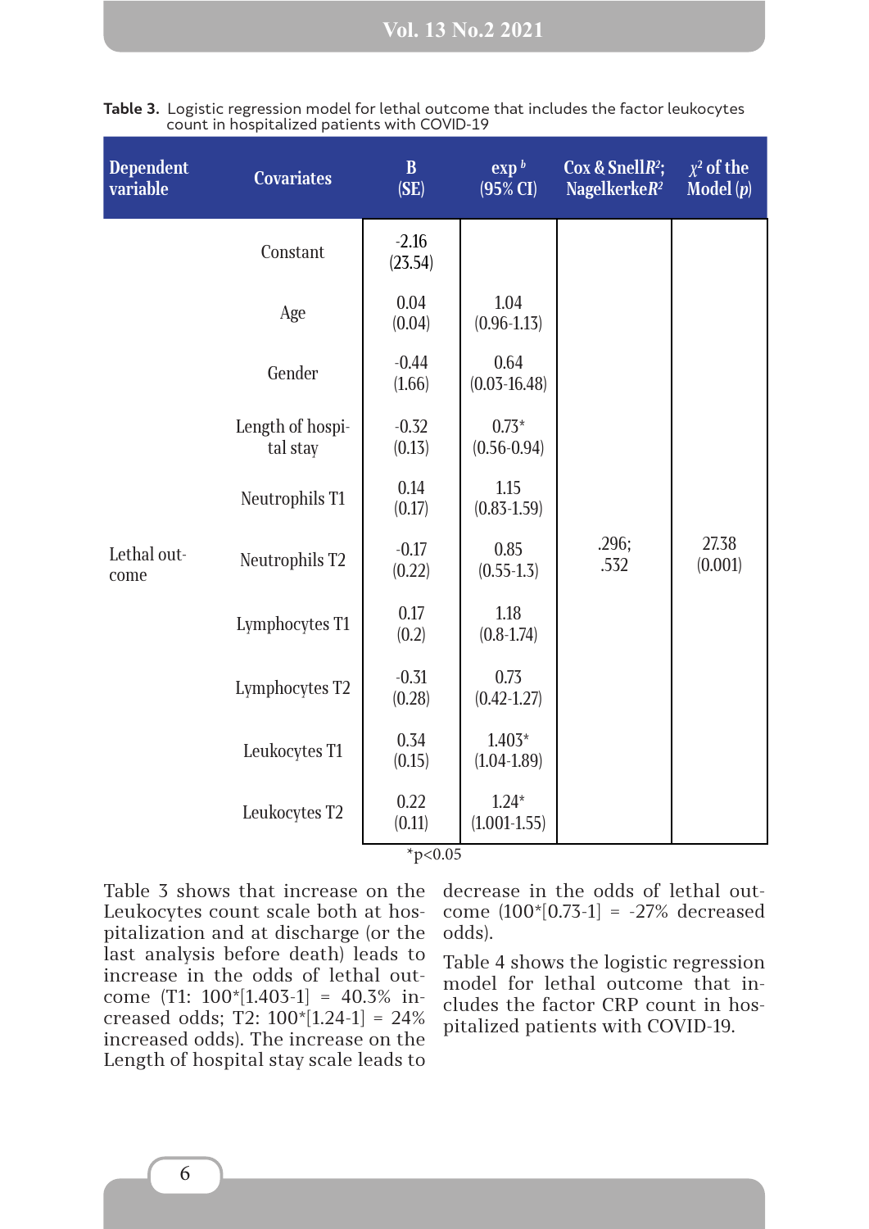| <b>Dependent</b><br>variable | <b>Covariates</b>            | $\mathbf{B}$<br>(SE) | $\exp^{\,b}$<br>$(95\% \text{ CI})$ | Cox & SnellR <sup>2</sup> ;<br>Nagelkerke $R^2$ | $\chi^2$ of the<br>Model $(p)$ |
|------------------------------|------------------------------|----------------------|-------------------------------------|-------------------------------------------------|--------------------------------|
|                              | Constant                     | $-2.16$<br>(23.54)   |                                     |                                                 |                                |
|                              | Age                          | 0.04<br>(0.04)       | 1.04<br>$(0.96 - 1.13)$             |                                                 |                                |
|                              | Gender                       | $-0.44$<br>(1.66)    | 0.64<br>$(0.03 - 16.48)$            |                                                 |                                |
|                              | Length of hospi-<br>tal stay | $-0.32$<br>(0.13)    | $0.73*$<br>$(0.56 - 0.94)$          |                                                 |                                |
|                              | Neutrophils T1               | 0.14<br>(0.17)       | 1.15<br>$(0.83 - 1.59)$             |                                                 |                                |
| Lethal out-<br>come          | Neutrophils T2               | $-0.17$<br>(0.22)    | 0.85<br>$(0.55 - 1.3)$              | .296;<br>.532                                   | 27.38<br>(0.001)               |
|                              | Lymphocytes T1               | 0.17<br>(0.2)        | 1.18<br>$(0.8 - 1.74)$              |                                                 |                                |
|                              | Lymphocytes T2               | $-0.31$<br>(0.28)    | 0.73<br>$(0.42 - 1.27)$             |                                                 |                                |
|                              | Leukocytes T1                | 0.34<br>(0.15)       | $1.403*$<br>$(1.04 - 1.89)$         |                                                 |                                |
|                              | Leukocytes T2                | 0.22<br>(0.11)       | $1.24*$<br>$(1.001 - 1.55)$         |                                                 |                                |

|  |  |                                              |  | Table 3. Logistic regression model for lethal outcome that includes the factor leukocytes |  |
|--|--|----------------------------------------------|--|-------------------------------------------------------------------------------------------|--|
|  |  | count in hospitalized patients with COVID-19 |  |                                                                                           |  |

 $*p<0.05$ 

Table 3 shows that increase on the Leukocytes count scale both at hospitalization and at discharge (or the last analysis before death) leads to increase in the odds of lethal outcome (T1: 100\*[1.403-1] = 40.3% increased odds; T2: 100\*[1.24-1] = 24% increased odds). The increase on the Length of hospital stay scale leads to

decrease in the odds of lethal outcome (100\*[0.73-1] = -27% decreased odds).

Table 4 shows the logistic regression model for lethal outcome that includes the factor CRP count in hospitalized patients with COVID-19.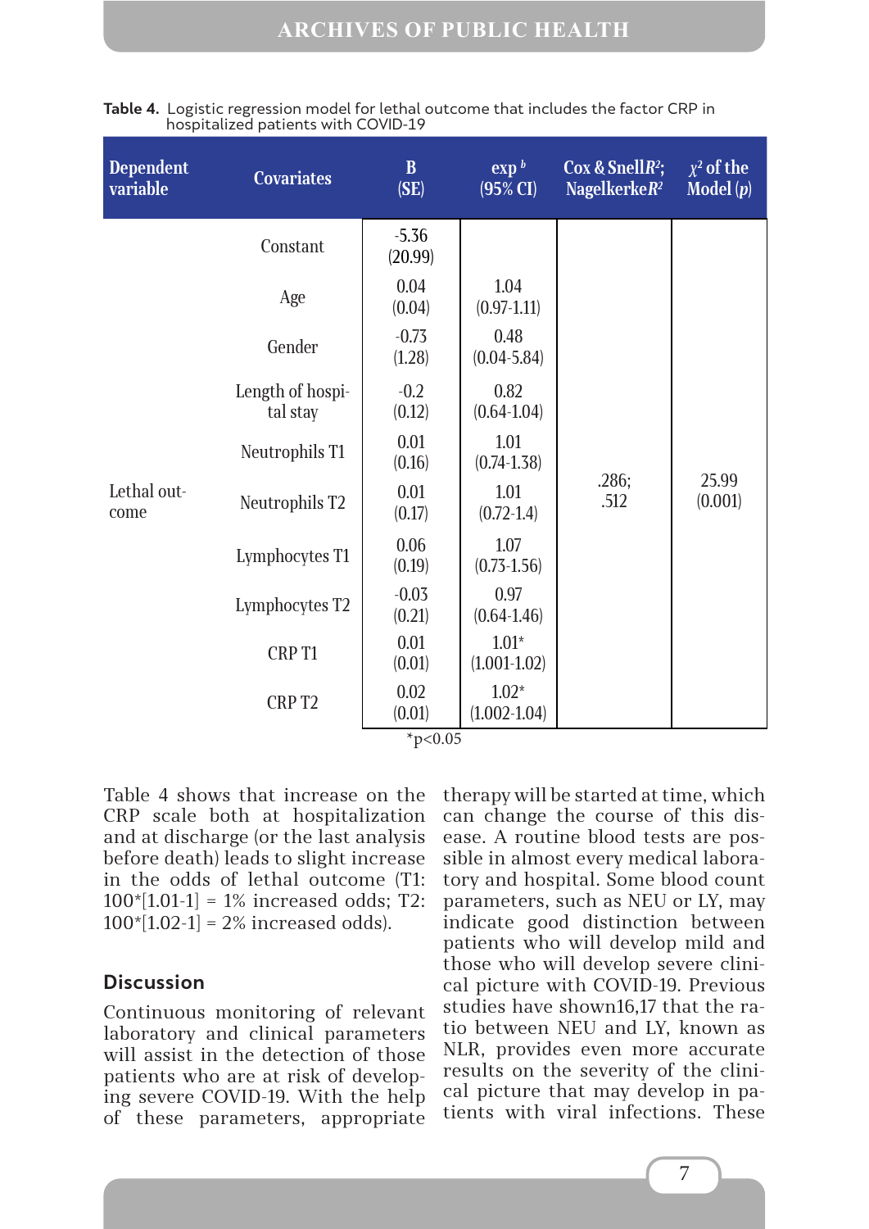| <b>Dependent</b><br>variable | <b>Covariates</b>            | $\bf{B}$<br>(SE)   | $\exp^b$<br>$(95\% \text{ CI})$ | Cox & SnellR <sup>2</sup> ;<br>Nagelkerke $R^2$ | $\overline{\chi^2}$ of the<br>Model $(p)$ |
|------------------------------|------------------------------|--------------------|---------------------------------|-------------------------------------------------|-------------------------------------------|
|                              | Constant                     | $-5.36$<br>(20.99) |                                 |                                                 |                                           |
|                              | Age                          | 0.04<br>(0.04)     | 1.04<br>$(0.97 - 1.11)$         |                                                 |                                           |
| Lethal out-<br>come          | Gender                       | $-0.73$<br>(1.28)  | 0.48<br>$(0.04 - 5.84)$         |                                                 |                                           |
|                              | Length of hospi-<br>tal stay | $-0.2$<br>(0.12)   | 0.82<br>$(0.64 - 1.04)$         |                                                 |                                           |
|                              | Neutrophils T1               | 0.01<br>(0.16)     | 1.01<br>$(0.74 - 1.38)$         |                                                 |                                           |
|                              | Neutrophils T2               | 0.01<br>(0.17)     | 1.01<br>$(0.72 - 1.4)$          | .286;<br>.512                                   | 25.99<br>(0.001)                          |
|                              | Lymphocytes T1               | 0.06<br>(0.19)     | 1.07<br>$(0.73 - 1.56)$         |                                                 |                                           |
|                              | Lymphocytes T2               | $-0.03$<br>(0.21)  | 0.97<br>$(0.64 - 1.46)$         |                                                 |                                           |
|                              | CRP T1                       | 0.01<br>(0.01)     | $1.01*$<br>$(1.001 - 1.02)$     |                                                 |                                           |
|                              | CRP T2                       | 0.02<br>(0.01)     | $1.02*$<br>$(1.002 - 1.04)$     |                                                 |                                           |
| * $p<0.05$                   |                              |                    |                                 |                                                 |                                           |

| Table 4. Logistic regression model for lethal outcome that includes the factor CRP in |
|---------------------------------------------------------------------------------------|
| hospitalized patients with COVID-19                                                   |

Table 4 shows that increase on the CRP scale both at hospitalization and at discharge (or the last analysis before death) leads to slight increase in the odds of lethal outcome (T1:  $100*[1.01-1] = 1\%$  increased odds; T2:  $100*[1.02-1] = 2\%$  increased odds).

### **Discussion**

Continuous monitoring of relevant laboratory and clinical parameters will assist in the detection of those patients who are at risk of developing severe COVID-19. With the help of these parameters, appropriate

therapy will be started at time, which can change the course of this disease. A routine blood tests are possible in almost every medical laboratory and hospital. Some blood count parameters, such as NEU or LY, may indicate good distinction between patients who will develop mild and those who will develop severe clinical picture with COVID-19. Previous studies have shown16,17 that the ratio between NEU and LY, known as NLR, provides even more accurate results on the severity of the clinical picture that may develop in patients with viral infections. These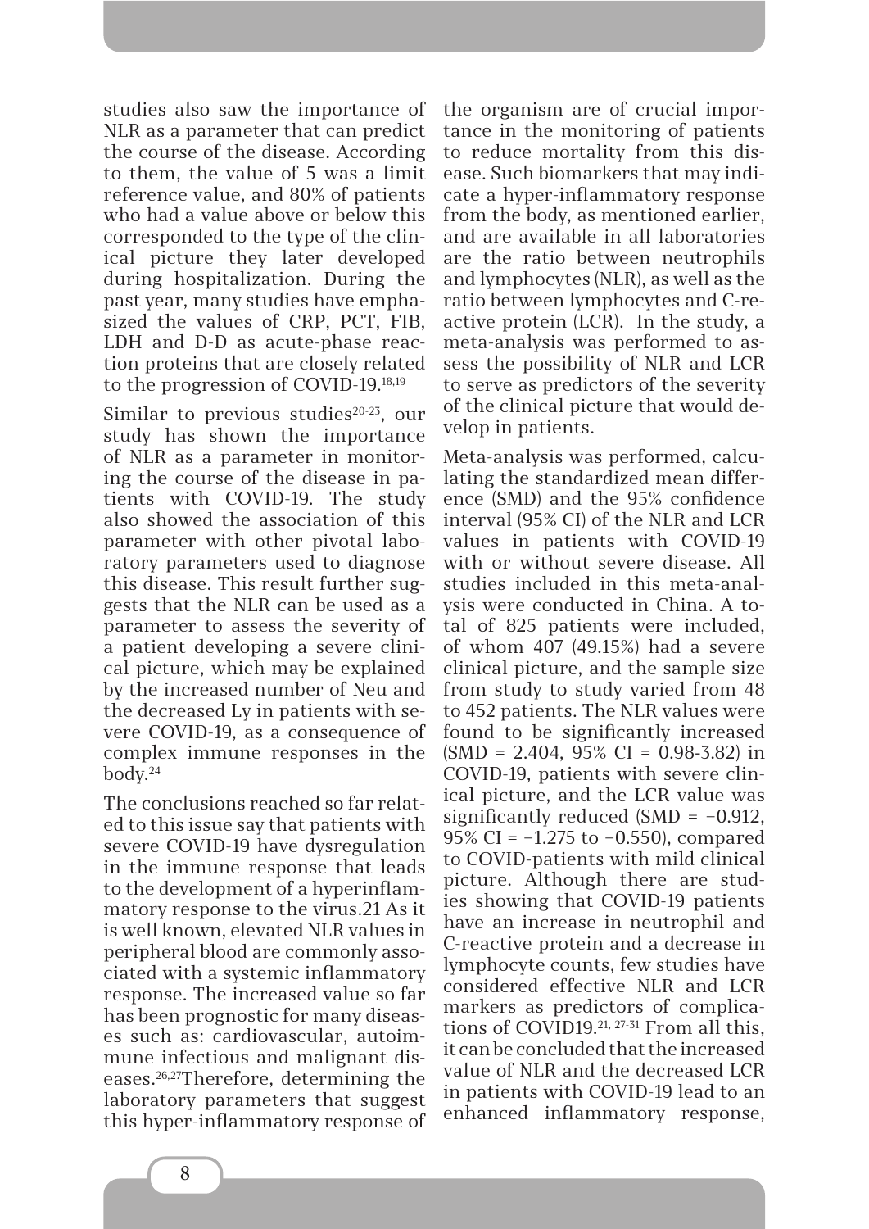studies also saw the importance of NLR as a parameter that can predict the course of the disease. According to them, the value of 5 was a limit reference value, and 80% of patients who had a value above or below this corresponded to the type of the clinical picture they later developed during hospitalization. During the past year, many studies have emphasized the values of CRP, PCT, FIB, LDH and D-D as acute-phase reaction proteins that are closely related to the progression of COVID-19.18,19

Similar to previous studies $20-23$ , our study has shown the importance of NLR as a parameter in monitoring the course of the disease in patients with COVID-19. The study also showed the association of this parameter with other pivotal laboratory parameters used to diagnose this disease. This result further suggests that the NLR can be used as a parameter to assess the severity of a patient developing a severe clinical picture, which may be explained by the increased number of Neu and the decreased Ly in patients with severe COVID-19, as a consequence of complex immune responses in the body.24

The conclusions reached so far related to this issue say that patients with severe COVID-19 have dysregulation in the immune response that leads to the development of a hyperinflammatory response to the virus.21 As it is well known, elevated NLR values in peripheral blood are commonly associated with a systemic inflammatory response. The increased value so far has been prognostic for many diseases such as: cardiovascular, autoimmune infectious and malignant diseases.26,27Therefore, determining the laboratory parameters that suggest this hyper-inflammatory response of the organism are of crucial importance in the monitoring of patients to reduce mortality from this disease. Such biomarkers that may indicate a hyper-inflammatory response from the body, as mentioned earlier, and are available in all laboratories are the ratio between neutrophils and lymphocytes (NLR), as well as the ratio between lymphocytes and C-reactive protein (LCR). In the study, a meta-analysis was performed to assess the possibility of NLR and LCR to serve as predictors of the severity of the clinical picture that would develop in patients.

Meta-analysis was performed, calculating the standardized mean difference (SMD) and the 95% confidence interval (95% CI) of the NLR and LCR values in patients with COVID-19 with or without severe disease. All studies included in this meta-analysis were conducted in China. A total of 825 patients were included, of whom 407 (49.15%) had a severe clinical picture, and the sample size from study to study varied from 48 to 452 patients. The NLR values were found to be significantly increased  $(SMD = 2.404, 95\% CI = 0.98-3.82)$  in COVID-19, patients with severe clinical picture, and the LCR value was significantly reduced  $(SMD = -0.912,$ 95% CI = −1.275 to −0.550), compared to COVID-patients with mild clinical picture. Although there are studies showing that COVID-19 patients have an increase in neutrophil and C-reactive protein and a decrease in lymphocyte counts, few studies have considered effective NLR and LCR markers as predictors of complications of COVID19.21, 27-31 From all this, it can be concluded that the increased value of NLR and the decreased LCR in patients with COVID-19 lead to an enhanced inflammatory response,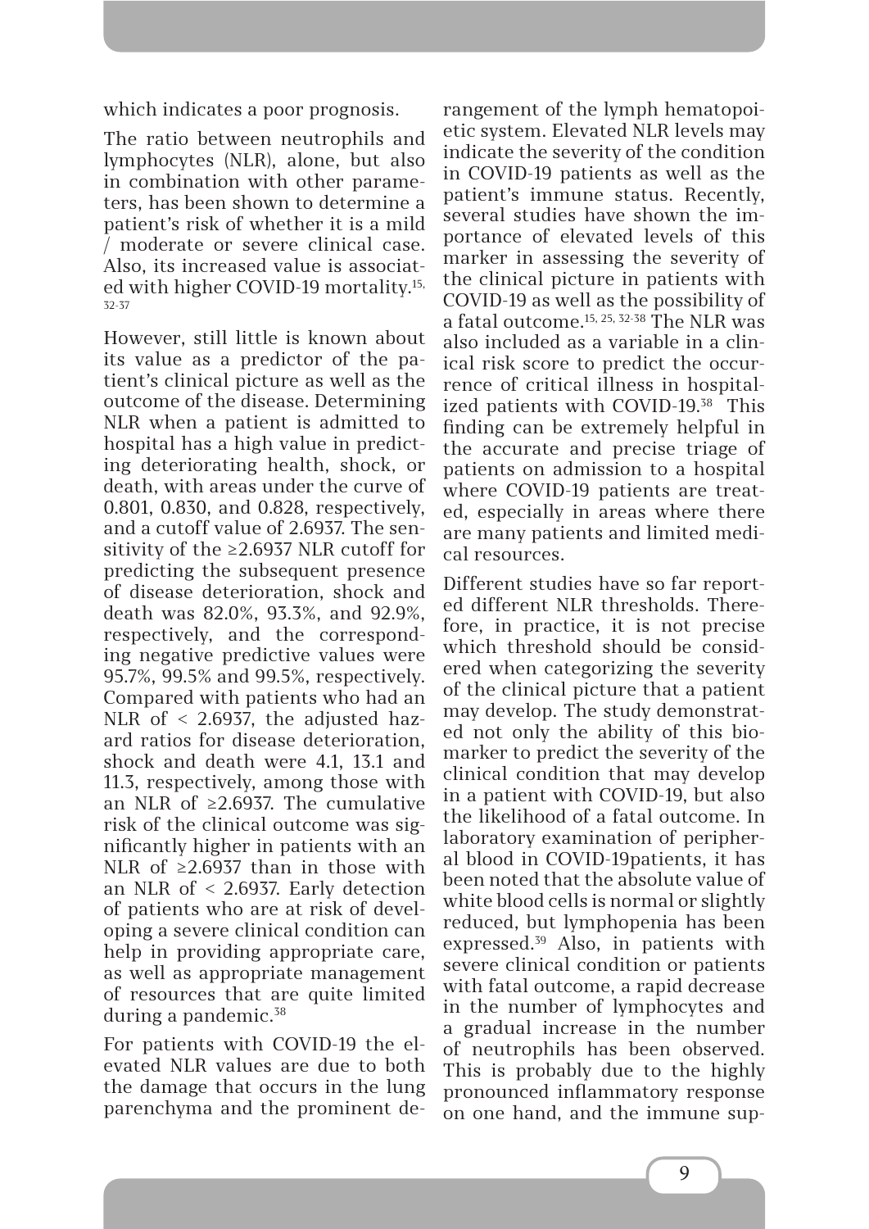which indicates a poor prognosis.

The ratio between neutrophils and lymphocytes (NLR), alone, but also in combination with other parameters, has been shown to determine a patient's risk of whether it is a mild / moderate or severe clinical case. Also, its increased value is associated with higher COVID-19 mortality.15, 32-37

However, still little is known about its value as a predictor of the patient's clinical picture as well as the outcome of the disease. Determining NLR when a patient is admitted to hospital has a high value in predicting deteriorating health, shock, or death, with areas under the curve of 0.801, 0.830, and 0.828, respectively, and a cutoff value of 2.6937. The sensitivity of the ≥2.6937 NLR cutoff for predicting the subsequent presence of disease deterioration, shock and death was 82.0%, 93.3%, and 92.9%, respectively, and the corresponding negative predictive values were 95.7%, 99.5% and 99.5%, respectively. Compared with patients who had an NLR of < 2.6937, the adjusted hazard ratios for disease deterioration, shock and death were 4.1, 13.1 and 11.3, respectively, among those with an NLR of ≥2.6937. The cumulative risk of the clinical outcome was significantly higher in patients with an NLR of  $≥2.6937$  than in those with an NLR of < 2.6937. Early detection of patients who are at risk of developing a severe clinical condition can help in providing appropriate care, as well as appropriate management of resources that are quite limited during a pandemic.<sup>38</sup>

For patients with COVID-19 the elevated NLR values are due to both the damage that occurs in the lung parenchyma and the prominent de-

rangement of the lymph hematopoietic system. Elevated NLR levels may indicate the severity of the condition in COVID-19 patients as well as the patient's immune status. Recently, several studies have shown the importance of elevated levels of this marker in assessing the severity of the clinical picture in patients with COVID-19 as well as the possibility of a fatal outcome.15, 25, 32-38 The NLR was also included as a variable in a clinical risk score to predict the occurrence of critical illness in hospitalized patients with COVID-19.<sup>38</sup> This finding can be extremely helpful in the accurate and precise triage of patients on admission to a hospital where COVID-19 patients are treated, especially in areas where there are many patients and limited medical resources.

Different studies have so far reported different NLR thresholds. Therefore, in practice, it is not precise which threshold should be considered when categorizing the severity of the clinical picture that a patient may develop. The study demonstrated not only the ability of this biomarker to predict the severity of the clinical condition that may develop in a patient with COVID-19, but also the likelihood of a fatal outcome. In laboratory examination of peripheral blood in COVID-19patients, it has been noted that the absolute value of white blood cells is normal or slightly reduced, but lymphopenia has been expressed.39 Also, in patients with severe clinical condition or patients with fatal outcome, a rapid decrease in the number of lymphocytes and a gradual increase in the number of neutrophils has been observed. This is probably due to the highly pronounced inflammatory response on one hand, and the immune sup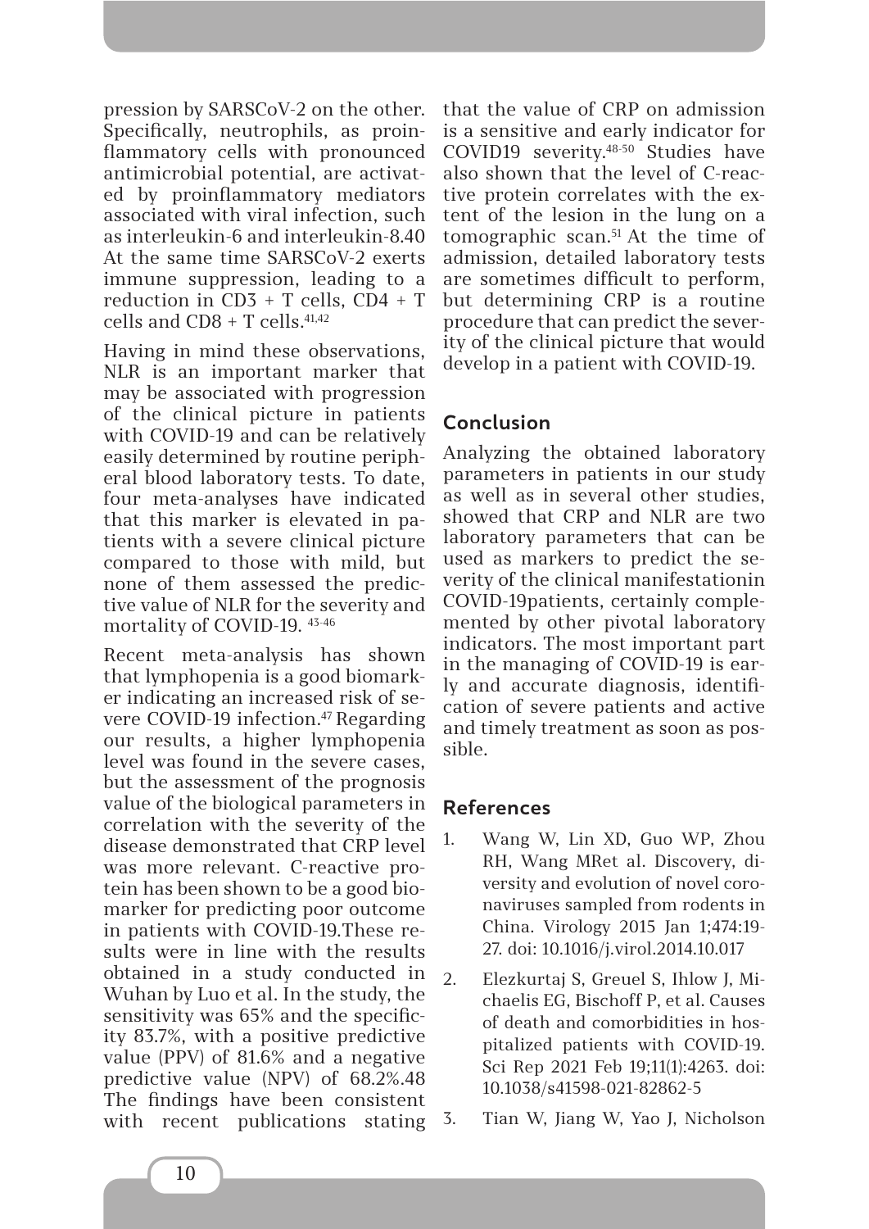pression by SARSCoV-2 on the other. Specifically, neutrophils, as proinflammatory cells with pronounced antimicrobial potential, are activated by proinflammatory mediators associated with viral infection, such as interleukin-6 and interleukin-8.40 At the same time SARSCoV-2 exerts immune suppression, leading to a reduction in CD3 + T cells, CD4 + T cells and  $CDB + T$  cells.<sup>41,42</sup>

Having in mind these observations, NLR is an important marker that may be associated with progression of the clinical picture in patients with COVID-19 and can be relatively easily determined by routine peripheral blood laboratory tests. To date, four meta-analyses have indicated that this marker is elevated in patients with a severe clinical picture compared to those with mild, but none of them assessed the predictive value of NLR for the severity and mortality of COVID-19. 43-46

Recent meta-analysis has shown that lymphopenia is a good biomarker indicating an increased risk of severe COVID-19 infection.<sup>47</sup> Regarding our results, a higher lymphopenia level was found in the severe cases, but the assessment of the prognosis value of the biological parameters in correlation with the severity of the disease demonstrated that CRP level was more relevant. C-reactive protein has been shown to be a good biomarker for predicting poor outcome in patients with COVID-19.These results were in line with the results obtained in a study conducted in Wuhan by Luo et al. In the study, the sensitivity was 65% and the specificity 83.7%, with a positive predictive value (PPV) of 81.6% and a negative predictive value (NPV) of 68.2%.48 The findings have been consistent with recent publications stating that the value of CRP on admission is a sensitive and early indicator for COVID19 severity.48-50 Studies have also shown that the level of C-reactive protein correlates with the extent of the lesion in the lung on a tomographic scan.51 At the time of admission, detailed laboratory tests are sometimes difficult to perform, but determining CRP is a routine procedure that can predict the severity of the clinical picture that would develop in a patient with COVID-19.

# **Conclusion**

Analyzing the obtained laboratory parameters in patients in our study as well as in several other studies, showed that CRP and NLR are two laboratory parameters that can be used as markers to predict the severity of the clinical manifestationin COVID-19patients, certainly complemented by other pivotal laboratory indicators. The most important part in the managing of COVID-19 is early and accurate diagnosis, identification of severe patients and active and timely treatment as soon as possible.

## **References**

- 1. Wang W, Lin XD, Guo WP, Zhou RH, Wang MRet al. Discovery, diversity and evolution of novel coronaviruses sampled from rodents in China. Virology 2015 Jan 1;474:19- 27. doi: 10.1016/j.virol.2014.10.017
- 2. Elezkurtaj S, Greuel S, Ihlow J, Michaelis EG, Bischoff P, et al. Causes of death and comorbidities in hospitalized patients with COVID-19. Sci Rep 2021 Feb 19;11(1):4263. doi: 10.1038/s41598-021-82862-5
- 3. Tian W, Jiang W, Yao J, Nicholson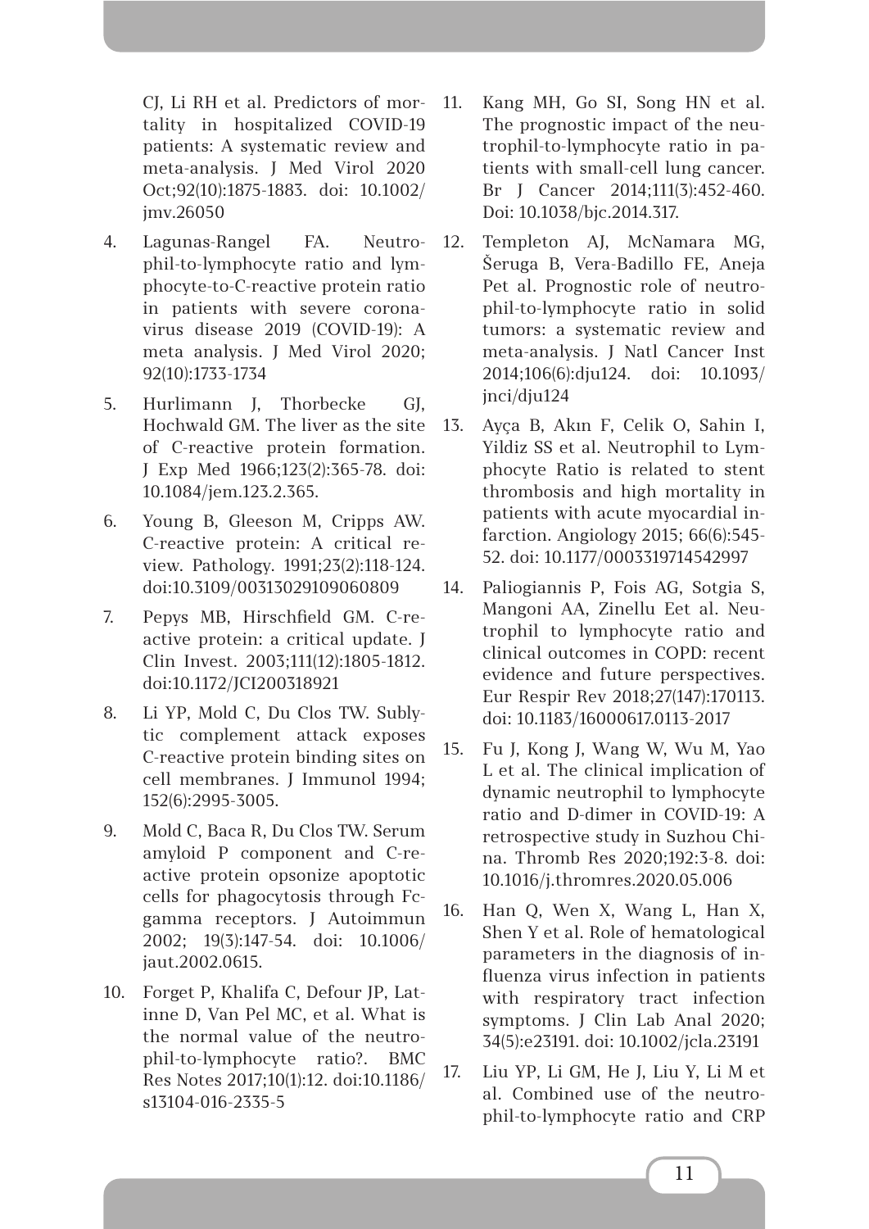CJ, Li RH et al. Predictors of mortality in hospitalized COVID-19 patients: A systematic review and meta-analysis. J Med Virol 2020 Oct;92(10):1875-1883. doi: 10.1002/ jmv.26050

- 4. Lagunas-Rangel FA. Neutrophil-to-lymphocyte ratio and lymphocyte-to-C-reactive protein ratio in patients with severe coronavirus disease 2019 (COVID-19): A meta analysis. J Med Virol 2020; 92(10):1733-1734
- 5. Hurlimann J, Thorbecke GJ, Hochwald GM. The liver as the site of C-reactive protein formation. J Exp Med 1966;123(2):365-78. doi: 10.1084/jem.123.2.365.
- 6. Young B, Gleeson M, Cripps AW. C-reactive protein: A critical review. Pathology. 1991;23(2):118-124. doi:10.3109/00313029109060809
- 7. Pepys MB, Hirschfield GM. C-reactive protein: a critical update. J Clin Invest. 2003;111(12):1805-1812. doi:10.1172/JCI200318921
- 8. Li YP, Mold C, Du Clos TW. Sublytic complement attack exposes C-reactive protein binding sites on cell membranes. J Immunol 1994; 152(6):2995-3005.
- 9. Mold C, Baca R, Du Clos TW. Serum amyloid P component and C-reactive protein opsonize apoptotic cells for phagocytosis through Fcgamma receptors. J Autoimmun 2002; 19(3):147-54. doi: 10.1006/ jaut.2002.0615.
- 10. Forget P, Khalifa C, Defour JP, Latinne D, Van Pel MC, et al. What is the normal value of the neutrophil-to-lymphocyte ratio?. BMC Res Notes 2017;10(1):12. doi:10.1186/ s13104-016-2335-5
- 11. Kang MH, Go SI, Song HN et al. The prognostic impact of the neutrophil-to-lymphocyte ratio in patients with small-cell lung cancer. Br J Cancer 2014;111(3):452-460. Doi: 10.1038/bjc.2014.317.
- 12. Templeton AJ, McNamara MG, Šeruga B, Vera-Badillo FE, Aneja Pet al. Prognostic role of neutrophil-to-lymphocyte ratio in solid tumors: a systematic review and meta-analysis. J Natl Cancer Inst 2014;106(6):dju124. doi: 10.1093/ jnci/dju124
- 13. Ayça B, Akın F, Celik O, Sahin I, Yildiz SS et al. Neutrophil to Lymphocyte Ratio is related to stent thrombosis and high mortality in patients with acute myocardial infarction. Angiology 2015; 66(6):545- 52. doi: 10.1177/0003319714542997
- 14. Paliogiannis P, Fois AG, Sotgia S, Mangoni AA, Zinellu Eet al. Neutrophil to lymphocyte ratio and clinical outcomes in COPD: recent evidence and future perspectives. Eur Respir Rev 2018;27(147):170113. doi: 10.1183/16000617.0113-2017
- 15. Fu J, Kong J, Wang W, Wu M, Yao L et al. The clinical implication of dynamic neutrophil to lymphocyte ratio and D-dimer in COVID-19: A retrospective study in Suzhou China. Thromb Res 2020;192:3-8. doi: 10.1016/j.thromres.2020.05.006
- 16. Han Q, Wen X, Wang L, Han X, Shen Y et al. Role of hematological parameters in the diagnosis of influenza virus infection in patients with respiratory tract infection symptoms. J Clin Lab Anal 2020; 34(5):e23191. doi: 10.1002/jcla.23191
- 17. Liu YP, Li GM, He J, Liu Y, Li M et al. Combined use of the neutrophil-to-lymphocyte ratio and CRP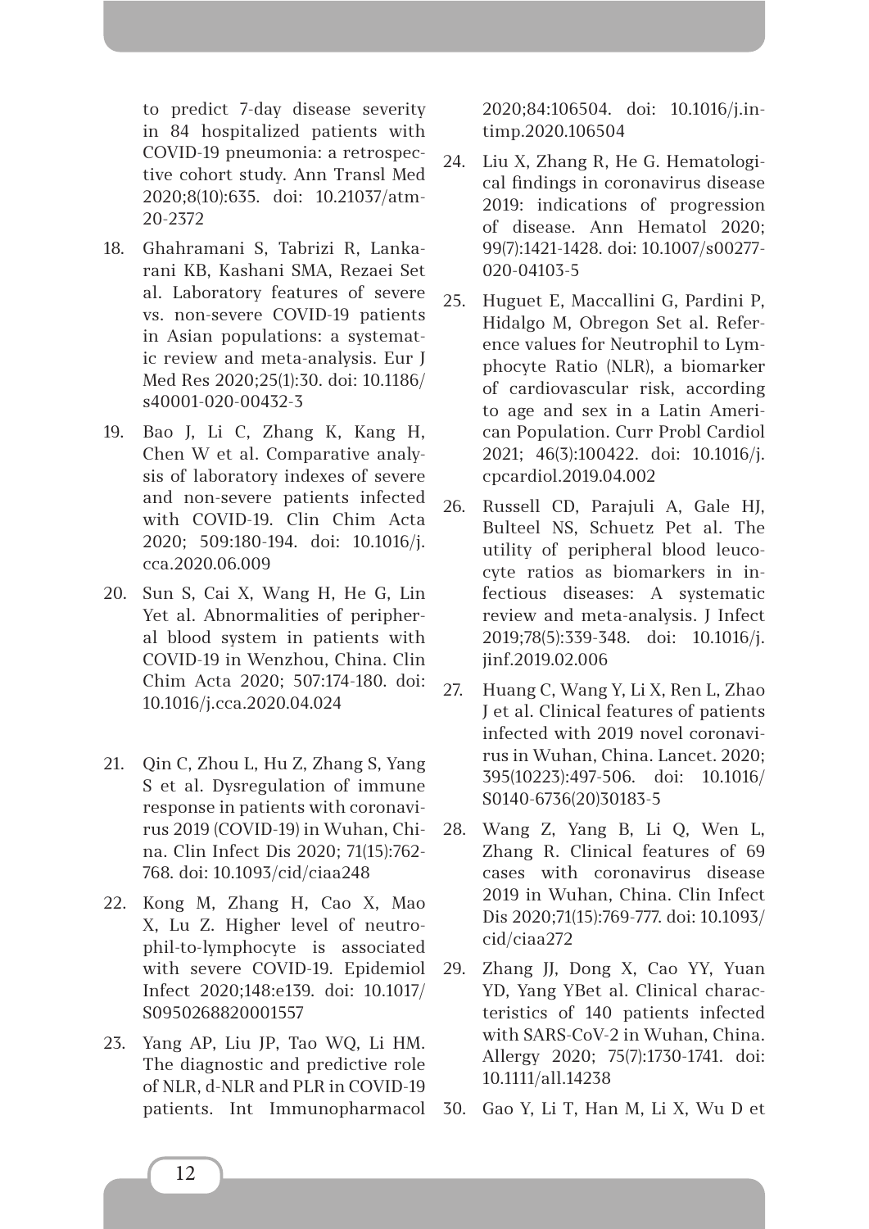to predict 7-day disease severity in 84 hospitalized patients with COVID-19 pneumonia: a retrospective cohort study. Ann Transl Med 2020;8(10):635. doi: 10.21037/atm-20-2372

- 18. Ghahramani S, Tabrizi R, Lankarani KB, Kashani SMA, Rezaei Set al. Laboratory features of severe vs. non-severe COVID-19 patients in Asian populations: a systematic review and meta-analysis. Eur J Med Res 2020;25(1):30. doi: 10.1186/ s40001-020-00432-3
- 19. Bao J, Li C, Zhang K, Kang H, Chen W et al. Comparative analysis of laboratory indexes of severe and non-severe patients infected with COVID-19. Clin Chim Acta 2020; 509:180-194. doi: 10.1016/j. cca.2020.06.009
- 20. Sun S, Cai X, Wang H, He G, Lin Yet al. Abnormalities of peripheral blood system in patients with COVID-19 in Wenzhou, China. Clin Chim Acta 2020; 507:174-180. doi: 10.1016/j.cca.2020.04.024
- 21. Qin C, Zhou L, Hu Z, Zhang S, Yang S et al. Dysregulation of immune response in patients with coronavirus 2019 (COVID-19) in Wuhan, China. Clin Infect Dis 2020; 71(15):762- 768. doi: 10.1093/cid/ciaa248
- 22. Kong M, Zhang H, Cao X, Mao X, Lu Z. Higher level of neutrophil-to-lymphocyte is associated with severe COVID-19. Epidemiol Infect 2020;148:e139. doi: 10.1017/ S0950268820001557
- 23. Yang AP, Liu JP, Tao WQ, Li HM. The diagnostic and predictive role of NLR, d-NLR and PLR in COVID-19 patients. Int Immunopharmacol

2020;84:106504. doi: 10.1016/j.intimp.2020.106504

- 24. Liu X, Zhang R, He G. Hematological findings in coronavirus disease 2019: indications of progression of disease. Ann Hematol 2020; 99(7):1421-1428. doi: 10.1007/s00277- 020-04103-5
- 25. Huguet E, Maccallini G, Pardini P, Hidalgo M, Obregon Set al. Reference values for Neutrophil to Lymphocyte Ratio (NLR), a biomarker of cardiovascular risk, according to age and sex in a Latin American Population. Curr Probl Cardiol 2021; 46(3):100422. doi: 10.1016/j. cpcardiol.2019.04.002
- 26. Russell CD, Parajuli A, Gale HJ, Bulteel NS, Schuetz Pet al. The utility of peripheral blood leucocyte ratios as biomarkers in infectious diseases: A systematic review and meta-analysis. J Infect 2019;78(5):339-348. doi: 10.1016/j. jinf.2019.02.006
- 27. Huang C, Wang Y, Li X, Ren L, Zhao J et al. Clinical features of patients infected with 2019 novel coronavirus in Wuhan, China. Lancet. 2020; 395(10223):497-506. doi: 10.1016/ S0140-6736(20)30183-5
- 28. Wang Z, Yang B, Li Q, Wen L, Zhang R. Clinical features of 69 cases with coronavirus disease 2019 in Wuhan, China. Clin Infect Dis 2020;71(15):769-777. doi: 10.1093/ cid/ciaa272
- 29. Zhang JJ, Dong X, Cao YY, Yuan YD, Yang YBet al. Clinical characteristics of 140 patients infected with SARS-CoV-2 in Wuhan, China. Allergy 2020; 75(7):1730-1741. doi: 10.1111/all.14238
- 30. Gao Y, Li T, Han M, Li X, Wu D et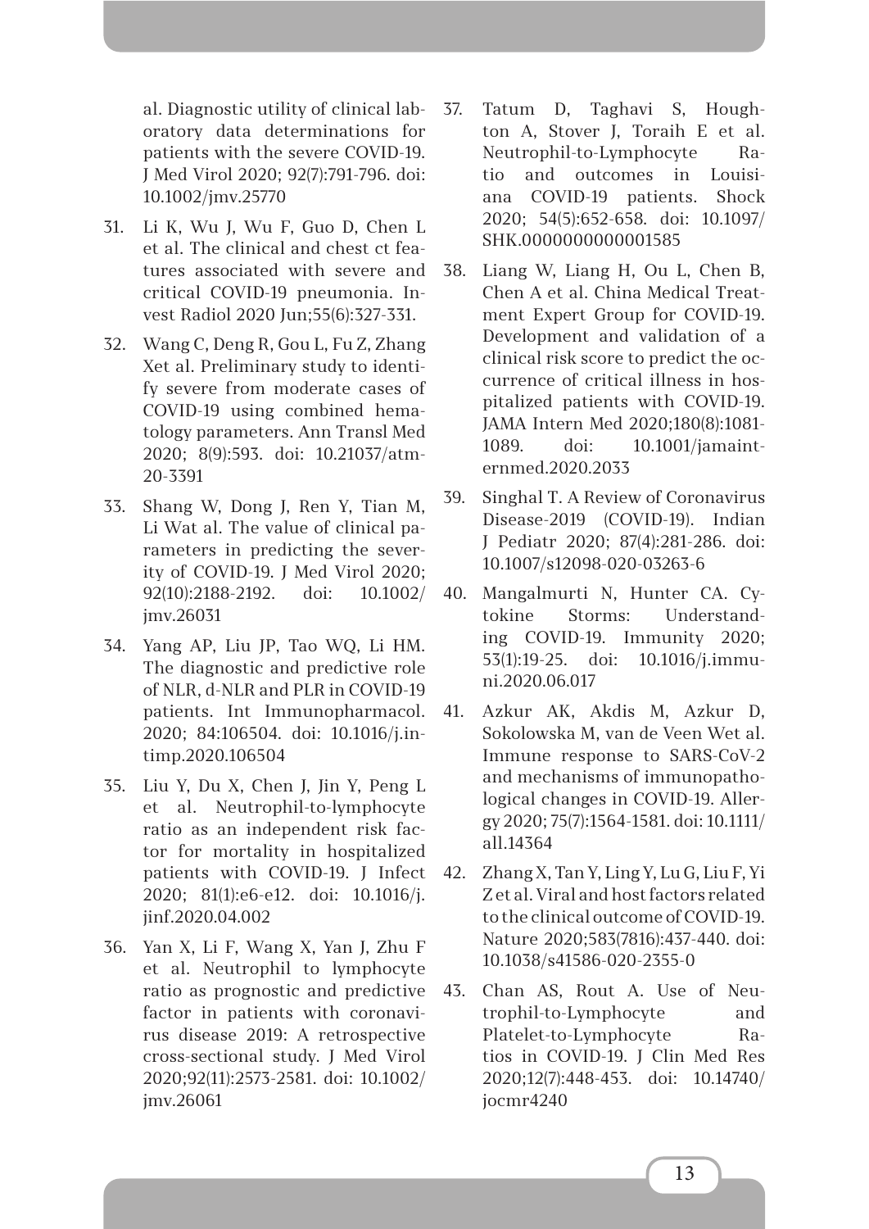al. Diagnostic utility of clinical laboratory data determinations for patients with the severe COVID-19. J Med Virol 2020; 92(7):791-796. doi: 10.1002/jmv.25770

- 31. Li K, Wu J, Wu F, Guo D, Chen L et al. The clinical and chest ct features associated with severe and critical COVID-19 pneumonia. Invest Radiol 2020 Jun;55(6):327-331.
- 32. Wang C, Deng R, Gou L, Fu Z, Zhang Xet al. Preliminary study to identify severe from moderate cases of COVID-19 using combined hematology parameters. Ann Transl Med 2020; 8(9):593. doi: 10.21037/atm-20-3391
- 33. Shang W, Dong J, Ren Y, Tian M, Li Wat al. The value of clinical parameters in predicting the severity of COVID-19. J Med Virol 2020; 92(10):2188-2192. doi: 10.1002/ jmv.26031
- 34. Yang AP, Liu JP, Tao WQ, Li HM. The diagnostic and predictive role of NLR, d-NLR and PLR in COVID-19 patients. Int Immunopharmacol. 2020; 84:106504. doi: 10.1016/j.intimp.2020.106504
- 35. Liu Y, Du X, Chen J, Jin Y, Peng L et al. Neutrophil-to-lymphocyte ratio as an independent risk factor for mortality in hospitalized patients with COVID-19. J Infect 2020; 81(1):e6-e12. doi: 10.1016/j. jinf.2020.04.002
- 36. Yan X, Li F, Wang X, Yan J, Zhu F et al. Neutrophil to lymphocyte ratio as prognostic and predictive factor in patients with coronavirus disease 2019: A retrospective cross-sectional study. J Med Virol 2020;92(11):2573-2581. doi: 10.1002/ jmv.26061
- 37. Tatum D, Taghavi S, Houghton A, Stover J, Toraih E et al. Neutrophil-to-Lymphocyte Ratio and outcomes in Louisiana COVID-19 patients. Shock 2020; 54(5):652-658. doi: 10.1097/ SHK.0000000000001585
- 38. Liang W, Liang H, Ou L, Chen B, Chen A et al. China Medical Treatment Expert Group for COVID-19. Development and validation of a clinical risk score to predict the occurrence of critical illness in hospitalized patients with COVID-19. JAMA Intern Med 2020;180(8):1081- 1089. doi: 10.1001/jamainternmed.2020.2033
- 39. Singhal T. A Review of Coronavirus Disease-2019 (COVID-19). Indian J Pediatr 2020; 87(4):281-286. doi: 10.1007/s12098-020-03263-6
- 40. Mangalmurti N, Hunter CA. Cytokine Storms: Understanding COVID-19. Immunity 2020; 53(1):19-25. doi: 10.1016/j.immuni.2020.06.017
- 41. Azkur AK, Akdis M, Azkur D, Sokolowska M, van de Veen Wet al. Immune response to SARS-CoV-2 and mechanisms of immunopathological changes in COVID-19. Allergy 2020; 75(7):1564-1581. doi: 10.1111/ all.14364
- 42. Zhang X, Tan Y, Ling Y, Lu G, Liu F, Yi Z et al. Viral and host factors related to the clinical outcome of COVID-19. Nature 2020;583(7816):437-440. doi: 10.1038/s41586-020-2355-0
- 43. Chan AS, Rout A. Use of Neutrophil-to-Lymphocyte and Platelet-to-Lymphocyte Ratios in COVID-19. J Clin Med Res 2020;12(7):448-453. doi: 10.14740/ jocmr4240